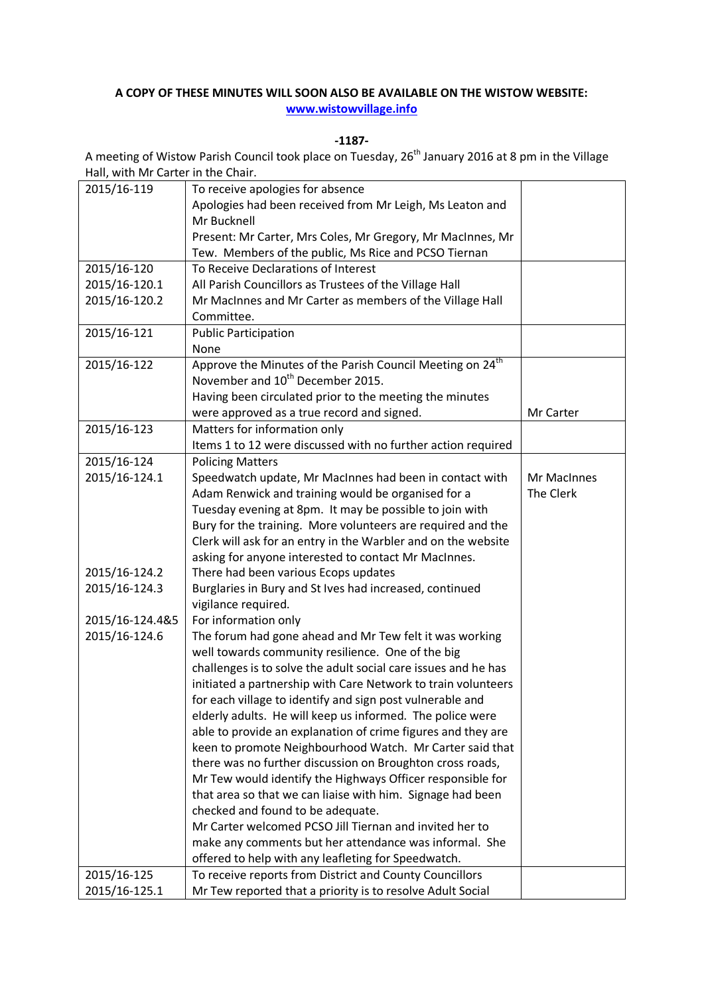## **A COPY OF THESE MINUTES WILL SOON ALSO BE AVAILABLE ON THE WISTOW WEBSITE: [www.wistowvillage.info](http://www.wistowvillage.info/)**

**-1187-**

A meeting of Wistow Parish Council took place on Tuesday, 26<sup>th</sup> January 2016 at 8 pm in the Village Hall, with Mr Carter in the Chair.

| 2015/16-119     | To receive apologies for absence                                      |             |
|-----------------|-----------------------------------------------------------------------|-------------|
|                 | Apologies had been received from Mr Leigh, Ms Leaton and              |             |
|                 | Mr Bucknell                                                           |             |
|                 | Present: Mr Carter, Mrs Coles, Mr Gregory, Mr MacInnes, Mr            |             |
|                 | Tew. Members of the public, Ms Rice and PCSO Tiernan                  |             |
| 2015/16-120     | To Receive Declarations of Interest                                   |             |
| 2015/16-120.1   | All Parish Councillors as Trustees of the Village Hall                |             |
| 2015/16-120.2   | Mr MacInnes and Mr Carter as members of the Village Hall              |             |
|                 | Committee.                                                            |             |
| 2015/16-121     | <b>Public Participation</b>                                           |             |
|                 | None                                                                  |             |
| 2015/16-122     | Approve the Minutes of the Parish Council Meeting on 24 <sup>th</sup> |             |
|                 | November and 10 <sup>th</sup> December 2015.                          |             |
|                 | Having been circulated prior to the meeting the minutes               |             |
|                 | were approved as a true record and signed.                            | Mr Carter   |
| 2015/16-123     | Matters for information only                                          |             |
|                 | Items 1 to 12 were discussed with no further action required          |             |
| 2015/16-124     | <b>Policing Matters</b>                                               |             |
| 2015/16-124.1   | Speedwatch update, Mr MacInnes had been in contact with               | Mr MacInnes |
|                 | Adam Renwick and training would be organised for a                    | The Clerk   |
|                 | Tuesday evening at 8pm. It may be possible to join with               |             |
|                 | Bury for the training. More volunteers are required and the           |             |
|                 | Clerk will ask for an entry in the Warbler and on the website         |             |
|                 | asking for anyone interested to contact Mr MacInnes.                  |             |
| 2015/16-124.2   | There had been various Ecops updates                                  |             |
| 2015/16-124.3   | Burglaries in Bury and St Ives had increased, continued               |             |
|                 | vigilance required.                                                   |             |
| 2015/16-124.4&5 | For information only                                                  |             |
| 2015/16-124.6   | The forum had gone ahead and Mr Tew felt it was working               |             |
|                 | well towards community resilience. One of the big                     |             |
|                 | challenges is to solve the adult social care issues and he has        |             |
|                 | initiated a partnership with Care Network to train volunteers         |             |
|                 | for each village to identify and sign post vulnerable and             |             |
|                 | elderly adults. He will keep us informed. The police were             |             |
|                 | able to provide an explanation of crime figures and they are          |             |
|                 | keen to promote Neighbourhood Watch. Mr Carter said that              |             |
|                 | there was no further discussion on Broughton cross roads,             |             |
|                 | Mr Tew would identify the Highways Officer responsible for            |             |
|                 | that area so that we can liaise with him. Signage had been            |             |
|                 | checked and found to be adequate.                                     |             |
|                 | Mr Carter welcomed PCSO Jill Tiernan and invited her to               |             |
|                 | make any comments but her attendance was informal. She                |             |
|                 | offered to help with any leafleting for Speedwatch.                   |             |
| 2015/16-125     | To receive reports from District and County Councillors               |             |
| 2015/16-125.1   | Mr Tew reported that a priority is to resolve Adult Social            |             |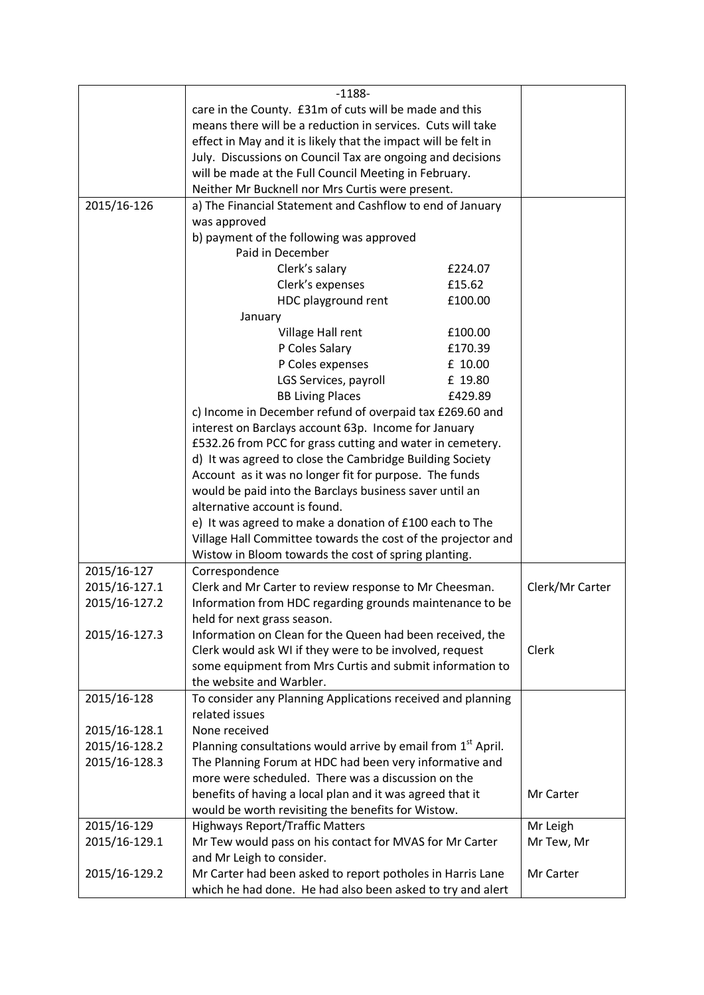|               | $-1188-$                                                                 |                 |
|---------------|--------------------------------------------------------------------------|-----------------|
|               | care in the County. £31m of cuts will be made and this                   |                 |
|               | means there will be a reduction in services. Cuts will take              |                 |
|               | effect in May and it is likely that the impact will be felt in           |                 |
|               | July. Discussions on Council Tax are ongoing and decisions               |                 |
|               | will be made at the Full Council Meeting in February.                    |                 |
|               | Neither Mr Bucknell nor Mrs Curtis were present.                         |                 |
| 2015/16-126   | a) The Financial Statement and Cashflow to end of January                |                 |
|               | was approved                                                             |                 |
|               | b) payment of the following was approved                                 |                 |
|               | Paid in December                                                         |                 |
|               | Clerk's salary<br>£224.07                                                |                 |
|               |                                                                          |                 |
|               | Clerk's expenses<br>£15.62                                               |                 |
|               | HDC playground rent<br>£100.00                                           |                 |
|               | January                                                                  |                 |
|               | Village Hall rent<br>£100.00                                             |                 |
|               | P Coles Salary<br>£170.39                                                |                 |
|               | P Coles expenses<br>£ 10.00                                              |                 |
|               | LGS Services, payroll<br>£ 19.80                                         |                 |
|               | <b>BB Living Places</b><br>£429.89                                       |                 |
|               | c) Income in December refund of overpaid tax £269.60 and                 |                 |
|               | interest on Barclays account 63p. Income for January                     |                 |
|               | £532.26 from PCC for grass cutting and water in cemetery.                |                 |
|               | d) It was agreed to close the Cambridge Building Society                 |                 |
|               | Account as it was no longer fit for purpose. The funds                   |                 |
|               | would be paid into the Barclays business saver until an                  |                 |
|               | alternative account is found.                                            |                 |
|               | e) It was agreed to make a donation of £100 each to The                  |                 |
|               | Village Hall Committee towards the cost of the projector and             |                 |
|               | Wistow in Bloom towards the cost of spring planting.                     |                 |
| 2015/16-127   | Correspondence                                                           |                 |
| 2015/16-127.1 | Clerk and Mr Carter to review response to Mr Cheesman.                   | Clerk/Mr Carter |
| 2015/16-127.2 | Information from HDC regarding grounds maintenance to be                 |                 |
|               | held for next grass season.                                              |                 |
| 2015/16-127.3 | Information on Clean for the Queen had been received, the                |                 |
|               | Clerk would ask WI if they were to be involved, request                  | Clerk           |
|               | some equipment from Mrs Curtis and submit information to                 |                 |
|               | the website and Warbler.                                                 |                 |
| 2015/16-128   | To consider any Planning Applications received and planning              |                 |
|               | related issues                                                           |                 |
| 2015/16-128.1 | None received                                                            |                 |
| 2015/16-128.2 | Planning consultations would arrive by email from 1 <sup>st</sup> April. |                 |
| 2015/16-128.3 | The Planning Forum at HDC had been very informative and                  |                 |
|               | more were scheduled. There was a discussion on the                       |                 |
|               | benefits of having a local plan and it was agreed that it                | Mr Carter       |
|               | would be worth revisiting the benefits for Wistow.                       |                 |
| 2015/16-129   | <b>Highways Report/Traffic Matters</b>                                   | Mr Leigh        |
| 2015/16-129.1 | Mr Tew would pass on his contact for MVAS for Mr Carter                  | Mr Tew, Mr      |
|               | and Mr Leigh to consider.                                                |                 |
| 2015/16-129.2 | Mr Carter                                                                |                 |
|               | which he had done. He had also been asked to try and alert               |                 |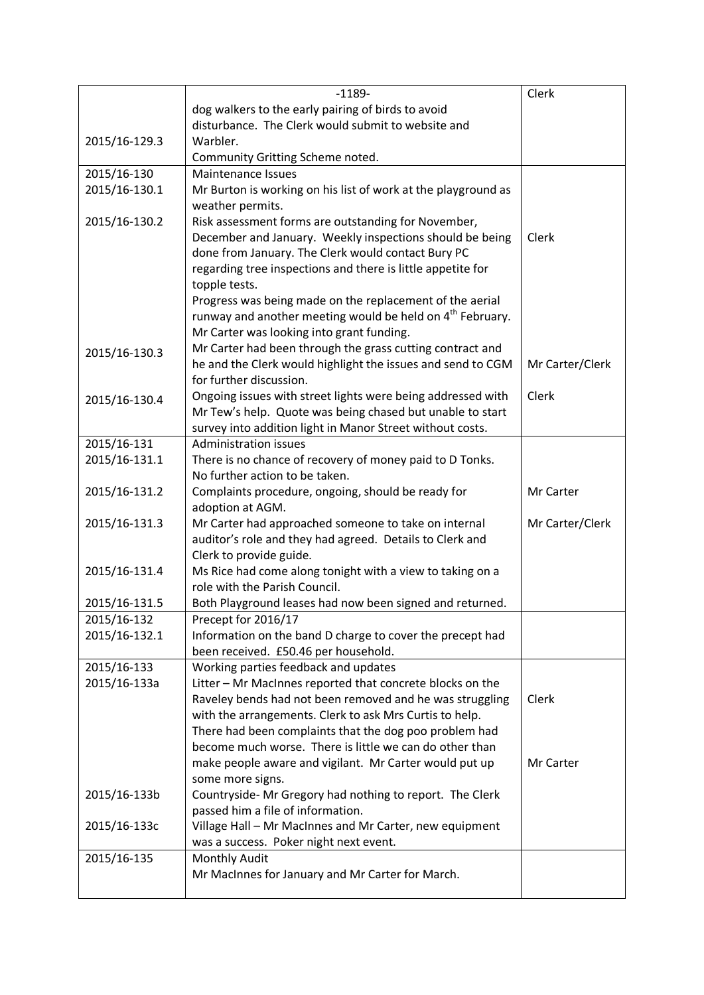|               | $-1189-$                                                                                                          | Clerk           |
|---------------|-------------------------------------------------------------------------------------------------------------------|-----------------|
|               | dog walkers to the early pairing of birds to avoid                                                                |                 |
|               | disturbance. The Clerk would submit to website and                                                                |                 |
| 2015/16-129.3 | Warbler.                                                                                                          |                 |
|               | Community Gritting Scheme noted.                                                                                  |                 |
| 2015/16-130   | <b>Maintenance Issues</b>                                                                                         |                 |
| 2015/16-130.1 | Mr Burton is working on his list of work at the playground as                                                     |                 |
|               | weather permits.                                                                                                  |                 |
| 2015/16-130.2 | Risk assessment forms are outstanding for November,                                                               |                 |
|               | December and January. Weekly inspections should be being                                                          | Clerk           |
|               | done from January. The Clerk would contact Bury PC                                                                |                 |
|               | regarding tree inspections and there is little appetite for                                                       |                 |
|               | topple tests.                                                                                                     |                 |
|               | Progress was being made on the replacement of the aerial                                                          |                 |
|               | runway and another meeting would be held on 4 <sup>th</sup> February.                                             |                 |
|               | Mr Carter was looking into grant funding.                                                                         |                 |
| 2015/16-130.3 | Mr Carter had been through the grass cutting contract and                                                         |                 |
|               | he and the Clerk would highlight the issues and send to CGM                                                       | Mr Carter/Clerk |
|               | for further discussion.                                                                                           |                 |
| 2015/16-130.4 | Ongoing issues with street lights were being addressed with                                                       | Clerk           |
|               | Mr Tew's help. Quote was being chased but unable to start                                                         |                 |
|               | survey into addition light in Manor Street without costs.                                                         |                 |
| 2015/16-131   | <b>Administration issues</b>                                                                                      |                 |
| 2015/16-131.1 | There is no chance of recovery of money paid to D Tonks.                                                          |                 |
|               | No further action to be taken.                                                                                    |                 |
| 2015/16-131.2 | Complaints procedure, ongoing, should be ready for                                                                | Mr Carter       |
|               | adoption at AGM.                                                                                                  |                 |
| 2015/16-131.3 | Mr Carter had approached someone to take on internal                                                              | Mr Carter/Clerk |
|               | auditor's role and they had agreed. Details to Clerk and                                                          |                 |
|               | Clerk to provide guide.                                                                                           |                 |
| 2015/16-131.4 | Ms Rice had come along tonight with a view to taking on a                                                         |                 |
|               | role with the Parish Council.                                                                                     |                 |
| 2015/16-131.5 | Both Playground leases had now been signed and returned.                                                          |                 |
| 2015/16-132   | Precept for 2016/17                                                                                               |                 |
| 2015/16-132.1 | Information on the band D charge to cover the precept had                                                         |                 |
|               | been received. £50.46 per household.                                                                              |                 |
| 2015/16-133   | Working parties feedback and updates                                                                              |                 |
| 2015/16-133a  | Litter - Mr MacInnes reported that concrete blocks on the                                                         |                 |
|               | Raveley bends had not been removed and he was struggling                                                          | Clerk           |
|               | with the arrangements. Clerk to ask Mrs Curtis to help.<br>There had been complaints that the dog poo problem had |                 |
|               | become much worse. There is little we can do other than                                                           |                 |
|               |                                                                                                                   | Mr Carter       |
|               | make people aware and vigilant. Mr Carter would put up<br>some more signs.                                        |                 |
| 2015/16-133b  | Countryside-Mr Gregory had nothing to report. The Clerk                                                           |                 |
|               | passed him a file of information.                                                                                 |                 |
| 2015/16-133c  | Village Hall - Mr MacInnes and Mr Carter, new equipment                                                           |                 |
|               | was a success. Poker night next event.                                                                            |                 |
| 2015/16-135   | Monthly Audit                                                                                                     |                 |
|               | Mr MacInnes for January and Mr Carter for March.                                                                  |                 |
|               |                                                                                                                   |                 |